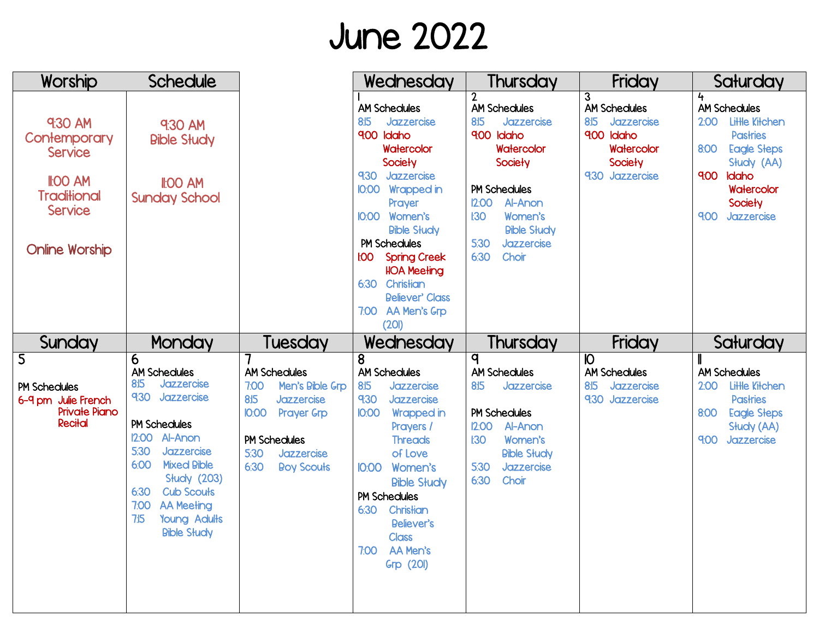## June 2022

| Worship                                                                                                                       | <b>Schedule</b>                                                                                                                                                                                                                                                                                              |                                                                                                                                                                                            | Wednesday                                                                                                                                                                                                                                                                                                                                | Thursday                                                                                                                                                                                                                             | Friday                                                                                                   | Saturday                                                                                                                                                                                |
|-------------------------------------------------------------------------------------------------------------------------------|--------------------------------------------------------------------------------------------------------------------------------------------------------------------------------------------------------------------------------------------------------------------------------------------------------------|--------------------------------------------------------------------------------------------------------------------------------------------------------------------------------------------|------------------------------------------------------------------------------------------------------------------------------------------------------------------------------------------------------------------------------------------------------------------------------------------------------------------------------------------|--------------------------------------------------------------------------------------------------------------------------------------------------------------------------------------------------------------------------------------|----------------------------------------------------------------------------------------------------------|-----------------------------------------------------------------------------------------------------------------------------------------------------------------------------------------|
| 9:30 AM<br>Contemporary<br><b>Service</b><br><b>II:00 AM</b><br><b>Traditional</b><br><b>Service</b><br><b>Online Worship</b> | 9:30 AM<br><b>Bible Study</b><br><b>II:00 AM</b><br><b>Sunday School</b>                                                                                                                                                                                                                                     |                                                                                                                                                                                            | <b>AM Schedules</b><br>8:15<br>Jazzercise<br>9:00<br>Idaho<br>Watercolor<br>Society<br>9:30<br>Jazzercise<br><b>10:00 Wrapped in</b><br>Prayer<br>I0:00 Women's<br><b>Bible Słudy</b><br><b>PM Schedules</b><br><b>FOO</b><br><b>Spring Creek</b><br><b>HOA Meeting</b><br>6:30 Christian<br><b>Believer' Class</b><br>7:00 AA Men's Grp | $\overline{2}$<br><b>AM Schedules</b><br>8:15<br>Jazzercise<br>9:00 Idaho<br>Watercolor<br>Society<br><b>PM Schedules</b><br>12:00<br>Al-Anon<br>Women's<br><b>I:30</b><br><b>Bible Słudy</b><br>5:30<br>Jazzercise<br>6:30<br>Choir | 3<br><b>AM Schedules</b><br>8:15<br>Jazzercise<br>9:00 Idaho<br>Watercolor<br>Society<br>9:30 Jazzercise | 4<br><b>AM Schedules</b><br><b>Little Kitchen</b><br>2:00<br><b>Pastries</b><br>8:00<br><b>Eagle Steps</b><br>Słudy (AA)<br>9:00<br>Idaho<br>Watercolor<br>Society<br>900<br>Jazzercise |
|                                                                                                                               |                                                                                                                                                                                                                                                                                                              |                                                                                                                                                                                            | (20I)                                                                                                                                                                                                                                                                                                                                    | Thursday                                                                                                                                                                                                                             | Friday                                                                                                   |                                                                                                                                                                                         |
| Sunday                                                                                                                        | Monday                                                                                                                                                                                                                                                                                                       | Tuesday                                                                                                                                                                                    | Wednesday                                                                                                                                                                                                                                                                                                                                |                                                                                                                                                                                                                                      |                                                                                                          | Saturday                                                                                                                                                                                |
| $\overline{5}$<br><b>PM Schedules</b><br>6-9 pm Julie French<br><b>Private Piano</b><br>Recital                               | 6<br><b>AM Schedules</b><br>8:15<br>Jazzercise<br>9:30<br>Jazzercise<br><b>PM Schedules</b><br><b>I2:00 Al-Anon</b><br>5:30<br>Jazzercise<br>6:00<br><b>Mixed Bible</b><br><b>Słudy (203)</b><br><b>Cub Scouts</b><br>6:30<br>7:00<br><b>AA Meeting</b><br>7:15<br><b>Young Adults</b><br><b>Bible Słudy</b> | <b>AM Schedules</b><br>7:00<br>Men's Bible Grp<br>8:15<br><b>Jazzercise</b><br><b>IO:OO</b><br><b>Prayer Grp</b><br><b>PM Schedules</b><br>5:30<br>Jazzercise<br>6:30<br><b>Boy Scouts</b> | 8<br><b>AM Schedules</b><br>8:15<br>Jazzercise<br>9:30<br>Jazzercise<br><b>IO:00</b><br>Wrapped in<br>Prayers /<br><b>Threads</b><br>of Love<br><b>IO:OO</b><br>Women's<br><b>Bible Słudy</b><br><b>PM Schedules</b><br>6:30<br>Christian<br>Believer's<br><b>Class</b><br>7:00 AA Men's<br><b>Grp (20I)</b>                             | $\overline{\mathsf{q}}$<br><b>AM Schedules</b><br>8:5<br>Jazzercise<br><b>PM Schedules</b><br>Al-Anon<br>12:00<br>Women's<br>130<br><b>Bible Słudy</b><br>Jazzercise<br>5:30<br>6:30<br>Choir                                        | $\overline{10}$<br><b>AM Schedules</b><br>8:5<br>Jazzercise<br>930 Jazzercise                            | <b>AM Schedules</b><br>Little Kitchen<br>2:00<br><b>Pastries</b><br><b>Eagle Steps</b><br>8:00<br>Słudy (AA)<br>9:00<br>Jazzercise                                                      |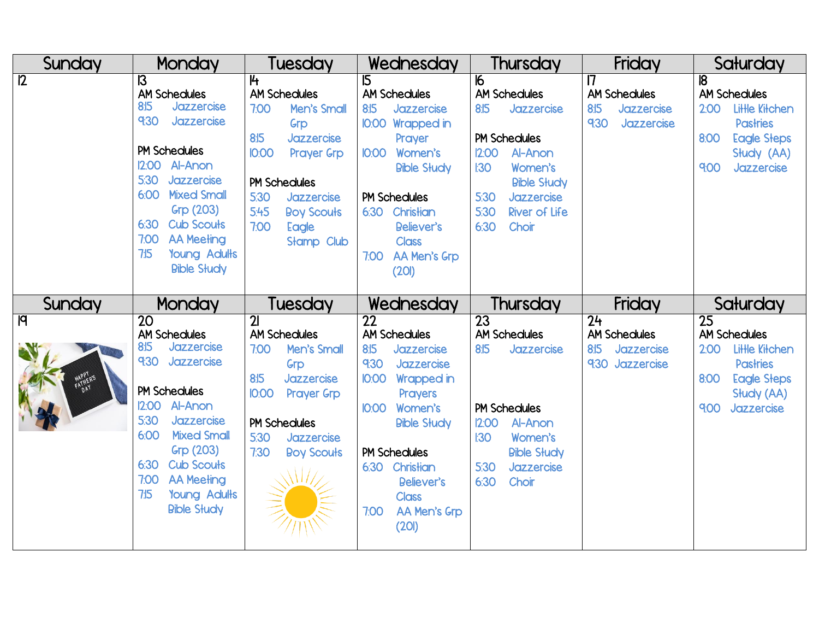| Sunday                      | Monday                                                                                                                                                                                                                                                                                                            | Tuesday                                                                                                                                                                                                                     | Wednesday                                                                                                                                                                                                                                                                            | <b>Thursday</b>                                                                                                                                                                                           | Friday                                                                          | Saturday                                                                                                                                              |
|-----------------------------|-------------------------------------------------------------------------------------------------------------------------------------------------------------------------------------------------------------------------------------------------------------------------------------------------------------------|-----------------------------------------------------------------------------------------------------------------------------------------------------------------------------------------------------------------------------|--------------------------------------------------------------------------------------------------------------------------------------------------------------------------------------------------------------------------------------------------------------------------------------|-----------------------------------------------------------------------------------------------------------------------------------------------------------------------------------------------------------|---------------------------------------------------------------------------------|-------------------------------------------------------------------------------------------------------------------------------------------------------|
| $\overline{12}$             | $\overline{\mathsf{B}}$<br><b>AM Schedules</b><br>8:15<br>Jazzercise<br>9:30<br>Jazzercise<br><b>PM Schedules</b><br>I2:00 Al-Anon<br>5:30<br>Jazzercise<br><b>Mixed Small</b><br>6:00<br>Grp (203)<br><b>Cub Scouts</b><br>6:30<br>7:00<br><b>AA Meeting</b><br>7:5<br><b>Young Adults</b><br><b>Bible Słudy</b> | 14<br><b>AM Schedules</b><br>7:00<br>Men's Small<br>Grp<br>8:15<br>Jazzercise<br><b>IO:OO</b><br><b>Prayer Grp</b><br><b>PM Schedules</b><br>5:30<br>Jazzercise<br>5:45<br><b>Boy Scouts</b><br>7:00<br>Eagle<br>Stamp Club | 15<br><b>AM Schedules</b><br>8:15<br>Jazzercise<br><b>10:00 Wrapped in</b><br>Prayer<br>IO:00 Women's<br><b>Bible Słudy</b><br><b>PM Schedules</b><br>6:30 Christian<br>Believer's<br><b>Class</b><br>AA Men's Grp<br>7:00<br>(201)                                                  | 16<br><b>AM Schedules</b><br>8:15<br>Jazzercise<br><b>PM Schedules</b><br>12:00<br>Al-Anon<br>Women's<br>130<br><b>Bible Study</b><br>5:30<br>Jazzercise<br>5:30<br><b>River of Life</b><br>6:30<br>Choir | 17<br><b>AM Schedules</b><br>8:15<br>Jazzercise<br>9:30<br>Jazzercise           | $\overline{8}$<br><b>AM Schedules</b><br>Little Kitchen<br>2:00<br><b>Pastries</b><br>8:00<br><b>Eagle Steps</b><br>Słudy (AA)<br>9:00<br>Jazzercise  |
| Sunday                      | <b>Monday</b>                                                                                                                                                                                                                                                                                                     | Tuesday                                                                                                                                                                                                                     | Wednesday                                                                                                                                                                                                                                                                            | <b>Thursday</b>                                                                                                                                                                                           | Friday                                                                          | Saturday                                                                                                                                              |
| $\overline{q}$<br>HAPPLER'S | $\overline{20}$<br><b>AM Schedules</b><br>8:5<br>Jazzercise<br>9:30 Jazzercise<br>PM Schedules<br>Al-Anon<br>12:00<br>5:30<br>Jazzercise<br>6:00<br><b>Mixed Small</b><br>Grp (203)<br><b>Cub Scouts</b><br>6:30<br>7:00<br><b>AA Meeting</b><br>7:5<br><b>Young Adults</b><br><b>Bible Słudy</b>                 | $\overline{2}$<br><b>AM Schedules</b><br>7:00<br>Men's Small<br>Grp<br>Jazzercise<br>8:15<br><b>IO:OO</b><br><b>Prayer Grp</b><br><b>PM Schedules</b><br>5:30<br>Jazzercise<br>7:30<br><b>Boy Scouts</b>                    | $\overline{22}$<br><b>AM Schedules</b><br>8:15<br>Jazzercise<br>9:30<br>Jazzercise<br><b>IO:00</b><br><b>Wrapped in</b><br>Prayers<br>IO:00 Women's<br><b>Bible Słudy</b><br><b>PM Schedules</b><br>Christian<br>6:30<br>Believer's<br><b>Class</b><br>AA Men's Grp<br>7:00<br>(201) | 23<br><b>AM Schedules</b><br>8:15<br>Jazzercise<br><b>PM Schedules</b><br>12:00<br>Al-Anon<br>130<br>Women's<br><b>Bible Słudy</b><br>5:30<br>Jazzercise<br>6:30<br>Choir                                 | $\overline{24}$<br><b>AM Schedules</b><br>8:15<br>Jazzercise<br>9:30 Jazzercise | $\overline{25}$<br><b>AM Schedules</b><br>Little Kitchen<br>2:00<br><b>Pastries</b><br>8:00<br><b>Eagle Steps</b><br>Słudy (AA)<br>9:00<br>Jazzercise |